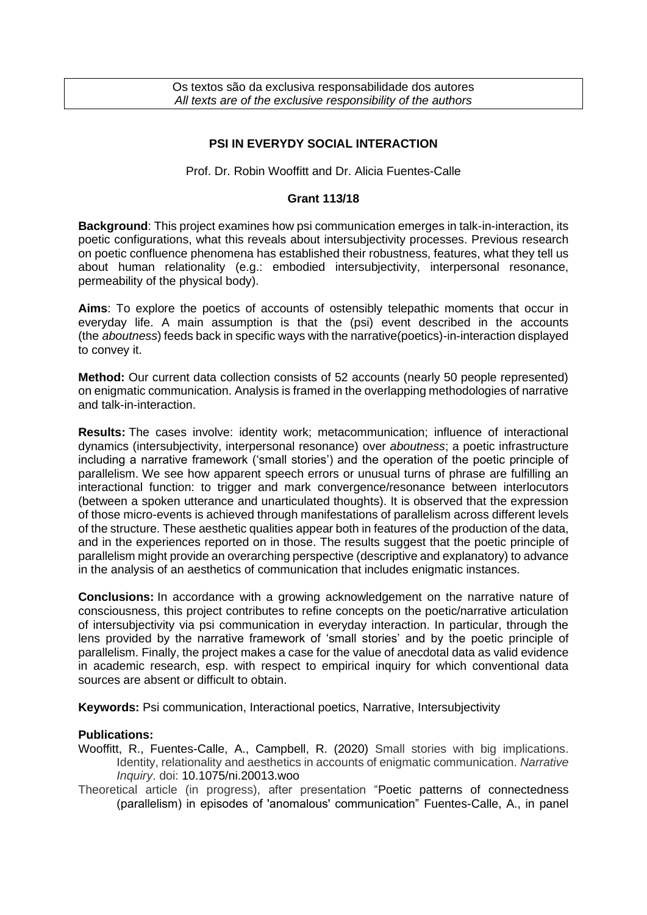Os textos são da exclusiva responsabilidade dos autores *All texts are of the exclusive responsibility of the authors*

## **PSI IN EVERYDY SOCIAL INTERACTION**

Prof. Dr. Robin Wooffitt and Dr. Alicia Fuentes-Calle

## **Grant 113/18**

**Background**: This project examines how psi communication emerges in talk-in-interaction, its poetic configurations, what this reveals about intersubjectivity processes. Previous research on poetic confluence phenomena has established their robustness, features, what they tell us about human relationality (e.g.: embodied intersubjectivity, interpersonal resonance, permeability of the physical body).

**Aims**: To explore the poetics of accounts of ostensibly telepathic moments that occur in everyday life. A main assumption is that the (psi) event described in the accounts (the *aboutness*) feeds back in specific ways with the narrative(poetics)-in-interaction displayed to convey it.

**Method:** Our current data collection consists of 52 accounts (nearly 50 people represented) on enigmatic communication. Analysis is framed in the overlapping methodologies of narrative and talk-in-interaction.

**Results:** The cases involve: identity work; metacommunication; influence of interactional dynamics (intersubjectivity, interpersonal resonance) over *aboutness*; a poetic infrastructure including a narrative framework ('small stories') and the operation of the poetic principle of parallelism. We see how apparent speech errors or unusual turns of phrase are fulfilling an interactional function: to trigger and mark convergence/resonance between interlocutors (between a spoken utterance and unarticulated thoughts). It is observed that the expression of those micro-events is achieved through manifestations of parallelism across different levels of the structure. These aesthetic qualities appear both in features of the production of the data, and in the experiences reported on in those. The results suggest that the poetic principle of parallelism might provide an overarching perspective (descriptive and explanatory) to advance in the analysis of an aesthetics of communication that includes enigmatic instances.

**Conclusions:** In accordance with a growing acknowledgement on the narrative nature of consciousness, this project contributes to refine concepts on the poetic/narrative articulation of intersubjectivity via psi communication in everyday interaction. In particular, through the lens provided by the narrative framework of 'small stories' and by the poetic principle of parallelism. Finally, the project makes a case for the value of anecdotal data as valid evidence in academic research, esp. with respect to empirical inquiry for which conventional data sources are absent or difficult to obtain.

**Keywords:** Psi communication, Interactional poetics, Narrative, Intersubjectivity

## **Publications:**

- Wooffitt, R., Fuentes-Calle, A., Campbell, R. (2020) Small stories with big implications. Identity, relationality and aesthetics in accounts of enigmatic communication. *Narrative Inquiry*. doi: 10.1075/ni.20013.woo
- Theoretical article (in progress), after presentation "Poetic patterns of connectedness (parallelism) in episodes of 'anomalous' communication" Fuentes-Calle, A., in panel